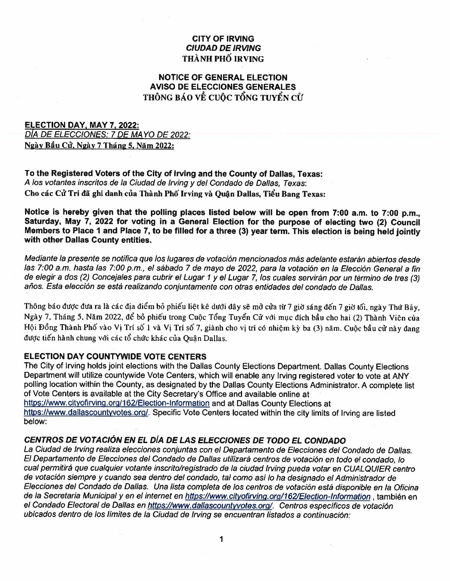### **CITY OF IRVING CIUDAD DE IRVING** THÀNH PHỐ IRVING

## **NOTICE OF GENERAL ELECTION AVISO DE ELECCIONES GENERALES** THÔNG BÁO VỀ CUỘC TỔNG TUYỂN CỬ

## **ELECTION DAY, MAY 7, 2022:** DÍA DE ELECCIONES: 7 DE MAYO DE 2022: Ngày Bầu Cử. Ngày 7 Tháng 5, Năm 2022:

To the Registered Voters of the City of Irving and the County of Dallas, Texas: A los votantes inscritos de la Ciudad de Irving y del Condado de Dallas, Texas: Cho các Cử Tri đã ghi danh của Thành Phố Irving và Quân Dallas, Tiểu Bang Texas:

Notice is hereby given that the polling places listed below will be open from 7:00 a.m. to 7:00 p.m., Saturday, May 7, 2022 for voting in a General Election for the purpose of electing two (2) Council Members to Place 1 and Place 7, to be filled for a three (3) year term. This election is being held jointly with other Dallas County entities.

Mediante la presente se notifica que los lugares de votación mencionados más adelante estarán abiertos desde las 7:00 a.m. hasta las 7:00 p.m., el sábado 7 de mayo de 2022, para la votación en la Elección General a fin de elegir a dos (2) Concejales para cubrir el Lugar 1 y el Lugar 7, los cuales servirán por un término de tres (3) años. Esta elección se está realizando conjuntamente con otras entidades del condado de Dallas.

Thông báo được đưa ra là các địa điểm bỏ phiếu liệt kê dưới đây sẽ mở cửa từ 7 giờ sáng đến 7 giờ tối, ngày Thứ Bảy, Ngày 7, Tháng 5, Năm 2022, để bỏ phiếu trong Cuộc Tổng Tuyển Cử với mục đích bầu cho hai (2) Thành Viên của Hội Đồng Thành Phố vào Vị Trí số 1 và Vị Trí số 7, giành cho vị trí có nhiệm kỳ ba (3) năm. Cuộc bầu cử này đang được tiến hành chung với các tổ chức khác của Quân Dallas.

### **ELECTION DAY COUNTYWIDE VOTE CENTERS**

The City of Irving holds joint elections with the Dallas County Elections Department. Dallas County Elections Department will utilize countywide Vote Centers, which will enable any Irving registered voter to vote at ANY polling location within the County, as designated by the Dallas County Elections Administrator. A complete list of Vote Centers is available at the City Secretary's Office and available online at https://www.cityofirving.org/162/Election-Information and at Dallas County Elections at https://www.dallascountyvotes.org/. Specific Vote Centers located within the city limits of Irving are listed below:

# CENTROS DE VOTACIÓN EN EL DÍA DE LAS ELECCIONES DE TODO EL CONDADO

La Ciudad de Irving realiza elecciones conjuntas con el Departamento de Elecciones del Condado de Dallas. El Departamento de Elecciones del Condado de Dallas utilizará centros de votación en todo el condado, lo cual permitirá que cualquier votante inscrito/registrado de la ciudad Irving pueda votar en CUALQUIER centro de votación siempre y cuando sea dentro del condado, tal como así lo ha designado el Administrador de Elecciones del Condado de Dallas. Una lista completa de los centros de votación está disponible en la Oficina de la Secretaria Municipal y en el internet en https://www.cityofirving.org/162/Election-Information, también en el Condado Electoral de Dallas en https://www.dallascountyvotes.org/. Centros específicos de votación ubicados dentro de los límites de la Ciudad de Irving se encuentran listados a continuación: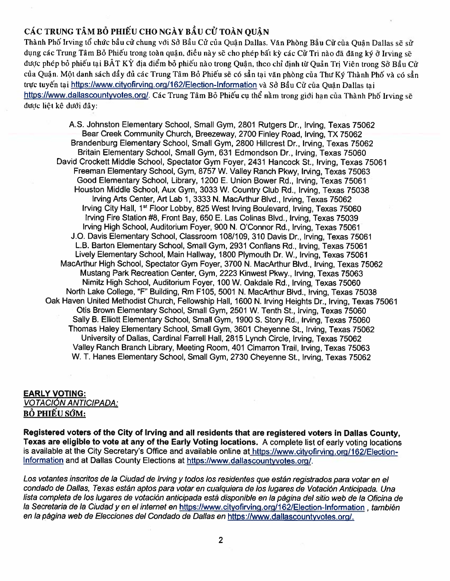# CÁC TRUNG TÂM BỎ PHIẾU CHO NGÀY BẦU CỬ TOÀN QUÂN

Thành Phố Irving tổ chức bầu cử chung với Sở Bầu Cử của Quân Dallas. Văn Phòng Bầu Cử của Quân Dallas sẽ sử dụng các Trung Tâm Bỏ Phiếu trong toàn quân, điều này sẽ cho phép bất kỳ các Cử Trị nào đã đăng ký ở Irving sẽ được phép bỏ phiếu tai BÂT KÝ địa điểm bỏ phiếu nào trong Quân, theo chỉ định từ Quản Trị Viên trong Sở Bầu Cử của Quận. Một danh sách đầy đủ các Trung Tâm Bỏ Phiếu sẽ có sẳn tai văn phòng của Thư Ký Thành Phố và có sẳn trực tuyến tại https://www.cityofirving.org/162/Election-Information và Sở Bầu Cử của Quân Dallas tại https://www.dallascountyvotes.org/. Các Trung Tâm Bỏ Phiếu cu thể nằm trong giới han của Thành Phố Irving sẽ được liệt kê dưới đây:

AS. Johnston Elementary School, Small Gym, <sup>2801</sup> Rutgers Dr., Irving, Texas <sup>75062</sup> Bear Creek Community Church, Breezeway, 2700 Finley Road, Irving, TX 75062 Brandenburg Elementary School, Small Gym, 2800 Hillcrest Dr., Irving, Texas 75062 Britain Elementary School, Small Gym, <sup>631</sup> Edmondson Dr., Irving, Texas <sup>75060</sup> David Crockett Middle School, Spectator Gym Foyer, 2431 Hancock St., Irving, Texas 75061 Freeman Elementary School, Gym, 8757 W. Valley Ranch Pkwy, Irving, Texas 75063 Good Elementary School, Library, 1200 E. Union Bower Rd., Irving, Texas 75061 Houston Middle School, Aux Gym, 3033 W. Country Club Rd., Irving, Texas 75038 Irving Arts Center, Art Lab 1, 3333 N. MacArthur Blvd., Irving, Texas 75062 Irving City Hall, 1<sup>st</sup> Floor Lobby, 825 West Irving Boulevard, Irving, Texas 75060 Irving Fire Station #8, Front Bay, 650 E. Las Colinas Blvd., Irving, Texas 75039 Irving High School, Auditorium Foyer, 900 N. O'Connor Rd., Irving, Texas 75061 JO, Davis Elementary School, Classroom 108/109, <sup>310</sup> Davis Dr., Irving, Texas <sup>75061</sup> L.B. Barton Elementary School, Small Gym, 2931 Conflans Rd., Irving, Texas 75061 Lively Elementary School, Main Hallway, 1800 Plymouth Dr. W., Irving, Texas 75061 MacArthur High School, Spectator Gym Foyer, <sup>3700</sup> N. MacArthur Blvd., Irving, Texas <sup>75062</sup> Mustang Park Recreation Center, Gym, 2223 Kinwest Pkwy., Irving, Texas 75063 Nimitz High School, Auditorium Foyer, 100W. Oakdale Rd., Irving, Texas <sup>75060</sup> North Lake College, "F" Building, Rm F105, 5001 N. MacArthur Blvd., Irving, Texas 75038 Oak Haven United Methodist Church, Fellowship Hall, <sup>1600</sup> N. Irving Heights Dr., Irving, Texas <sup>75061</sup> Otis Brown Elementary School, Small Gym, 2501 W. Tenth St., Irving, Texas 75060 Sally B. Elliott Elementary School, Small Gym, 1900 5. Story Rd., Irving, Texas 75060 Thomas Haley Elementary School, Small Gym, <sup>3601</sup> Cheyenne St., Irving, Texas <sup>75062</sup> University of Dallas, Cardinal Farrell HaIl, 2815 Lynch Circle, Irving, Texas 75062 Valley Ranch Branch Library, Meeting Room, <sup>401</sup> Cimarron Trail, Irving, Texas <sup>75063</sup> W. T. Hanes Elementary School, Small Gym, <sup>2730</sup> Cheyenne St., Irving, Texas <sup>75062</sup>

### EARLY VOTING: VOTACIÓN ANTICIPADA:

BỔ PHIẾU SỚM:

Registered voters of the City of Irving and all residents that are registered voters in Dallas County, Texas are eligible to vote at any of the Early Voting locations. <sup>A</sup> complete list of early voting locations is available at the City Secretary's Office and available online at https://www.cityofirving.org/162/Election-Information and at Dallas County Elections at https://www.dallascountyvotes.org/.

Los votantes inscritos de la Ciudad de Irving y todos los residentes que están registrados para votar en el condado de Dallas, Texas están aptos para votar en cualquiera de los lugares de Votación Anticipada. Una lista completa de los lugares de votación anticipada está disponible en la página del sitio web de la Oficina de Ia Secretaria de la Ciudad y en el internet en https://www.cityofirving.org/162/Election-Information, también en la página web de Elecciones del Condado de Dallas en https://www.dallascountyvotes.org/.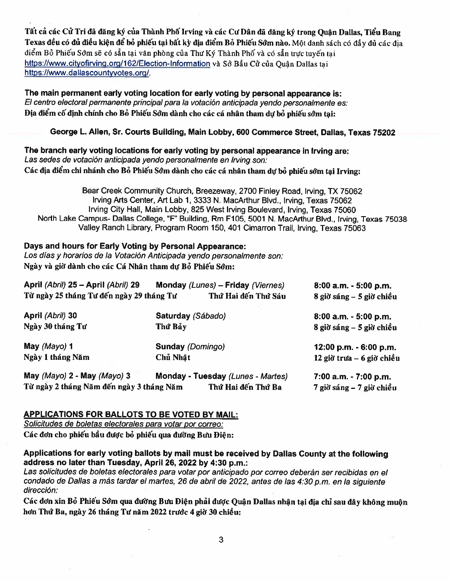Tất cả các Cử Tri đã đăng ký của Thành Phố Irving và các Cư Dân đã đăng ký trong Quận Dallas, Tiểu Bang Texas đều có đủ điều kiện để bỏ phiếu tại bất kỳ địa điểm Bỏ Phiếu Sớm nào. Một danh sách có đầy đủ các địa điểm Bỏ Phiếu Sớm sẽ có sẳn tai văn phòng của Thư Ký Thành Phố và có sẳn trực tuyến tai https://www.cityofirving.org/162/Election-Information và Sở Bầu Cử của Quân Dallas tai https://www.dallascountyvotes.org/.

The main permanen<sup>t</sup> early voting location for early voting by persona<sup>l</sup> appearance is: El centro electoral permanente principal para la votación anticipada yendo personalmente es: Địa điểm cố định chính cho Bỏ Phiếu Sớm dành cho các cá nhân tham dự bỏ phiếu sớm tai:

#### George L. Allen, Sr. Courts Building, Main Lobby, <sup>600</sup> Commerce Street, Dallas, Texas 75202

The branch early voting locations for early voting by persona<sup>l</sup> appearance in Irving are: Las sedes de votación anticipada yendo personalmente en Irving son: Các địa điểm chi nhánh cho Bỏ Phiếu Sớm dành cho các cá nhân tham dự bỏ phiếu sớm tại Irving:

Bear Creek Community Church, Breezeway, <sup>2700</sup> Finley Road, Irving, TX <sup>75062</sup> Irving Arts Center, Art Lab 1, <sup>3333</sup> N. MacArthur Blvd., Irving, Texas <sup>75062</sup> Irving City Hall, Main Lobby, <sup>825</sup> West Irving Boulevard, Irving, Texas <sup>75060</sup> North Lake Campus- Dallas College, "F" Building, Rm F105, <sup>5001</sup> N. MacArthur Blvd., Irving, Texas <sup>75038</sup> Valley Ranch Library, Program Room 150, <sup>401</sup> Cimarron Trail, Irving, Texas <sup>75063</sup>

# Days and hours for Early Voting by Personal Appearance:

Los días y horarios de la Votación Anticipada yendo personalmente son: Ngày và giờ dành cho các Cá Nhân tham dư Bỏ Phiếu Sớm:

| April (Abril) 25 - April (Abril) 29<br>Monday (Lunes) - Friday (Viernes)<br>Từ ngày 25 tháng Tư đến ngày 29 tháng Tư<br>Thứ Hai đến Thứ Sáu |                                   |                            | 8:00 a.m. - 5:00 p.m.       |
|---------------------------------------------------------------------------------------------------------------------------------------------|-----------------------------------|----------------------------|-----------------------------|
|                                                                                                                                             |                                   | $8$ giờ sáng – 5 giờ chiều |                             |
| April (Abril) 30                                                                                                                            | Saturday (Sábado)                 |                            | $8:00$ a.m. $-5:00$ p.m.    |
| Ngày 30 tháng Tư                                                                                                                            | Thứ Bảy                           |                            | $8$ giờ sáng – 5 giờ chiều  |
| May (Mayo) 1                                                                                                                                | <b>Sunday (Domingo)</b>           |                            | 12:00 p.m. - 6:00 p.m.      |
| Ngày 1 tháng Năm                                                                                                                            | Chủ Nhật                          |                            | $12$ giờ trưa – 6 giờ chiều |
| May (Mayo) 2 - May (Mayo) 3                                                                                                                 | Monday - Tuesday (Lunes - Martes) |                            | 7:00 a.m. - 7:00 p.m.       |
| Từ ngày 2 tháng Năm đến ngày 3 tháng Năm<br>Thứ Hai đến Thứ Ba                                                                              |                                   |                            | 7 giờ sáng – 7 giờ chiều    |

### APPLICATIONS FOR BALLOTS TO BE VOTED BY MAIL:

Solicitudes de boletas electorales para votar por correo: Các đơn cho phiếu bầu được bỏ phiếu qua đường Bưu Điên:

Applications for early voting ballots by mail must be received by Dallas County at the following address no later than Tuesday, April 26, <sup>2022</sup> by 4:30 p.m.:

Las solicitudes de boletas electorales para votar por anticipado por correo deberán ser recibidas en el condado de Dallas a más tardar el martes, 26 de abril de 2022, antes de las 4:30 p.m. en la siguiente dirección:

Các đơn xin Bỏ Phiếu Sớm qua đường Bưu Điện phải được Quận Dallas nhận tại địa chỉ sau đây không muộn hơn Thứ Ba, ngày 26 tháng Tư năm 2022 trước 4 giờ 30 chiều:

3